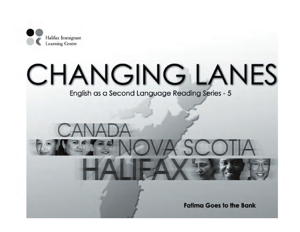

# **CHANGING LANES**

English as a Second Language Reading Series - 5

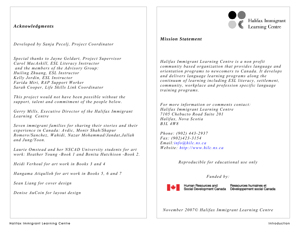### *Acknowledgments*

*Developed by Sanja Pecelj, Project Coordinator* 

*Special thanks to Jayne Geldart, Project Supervisor Carol MacAskill, ESL Literacy Instructor and the members of the Advisory Group: Huiling Zhuang, ESL Instructor Kelly Jordin, ESL Instructor Farida Miri, RAP Support Worker Sarah Cooper, Life Skills Link Coordinator* 

*This project would not have been possible without the support, talent and commitment of the people below.* 

*Gerry Mills, Executive Director of the Halifax Immigrant Learning Centre* 

*Seven immigrant families for sharing their stories and their experience in Canada: Avdic, Monir Shah/Shapur Romero/Sanchez, Wahidi, Nazar Mohammad/Jandat,Jallah and Jung/Yoon.* 

*Laurie Omstead and her NSCAD University students for art work: Heather Young -Book 1 and Benita Hutchison -Book 2.* 

*Heidi Verhoul for art work in Books 3 and 4* 

*Hangama Atiqulloh for art work in Books 5, 6 and 7* 

*Sean Liang for cover design* 

*Denise AuCoin for layout design* 



## *Mission Statement*

*Halifax Immigrant Learning Centre is a non profit community based organization that provides language and orientation programs to newcomers to Canada. It develops and delivers language learning programs along the continuum of learning including ESL literacy, settlement, community, workplace and profession specific language training programs.* 

*For more information or comments contact: Halifax Immigrant Learning Centre 7105 Chebucto Road Suite 201 Halifax, Nova Scotia B3L 4W8* 

*Phone: (902) 443-2937 Fax: (902)423-3154 Email:info@hilc.ns.ca Website: http://www.hilc.ns.ca* 

*Reproducible for educational use only* 

#### *Funded by:*



Human Resources and

Ressources humaines et Social Development Canada Développement social Canada

*November 2007© Halifax Immigrant Learning Centre*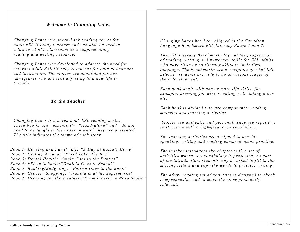## *Welcome to Changing Lanes*

*Changing Lanes is a seven-book reading series for adult ESL literacy learners and can also be used in a low level ESL classroom as a supplementary reading and writing resource.* 

*Changing Lanes was developed to address the need for relevant adult ESL literacy resources for both newcomers and instructors. The stories are about and for new immigrants who are still adjusting to a new life in Canada.* 

## *To the Teacher*

*Changing Lanes is a seven book ESL reading series. These boo ks are essentially "stand-alone" and do not need to be taught in the order in which they are presented. The title indicates the theme of each story.* 

*Book 1: Housing and Family Life "A Day at Razia's Home" Book 2: Getting Around: "Farid Takes the Bus" Book 3: Dental Health:"Amela Goes to the Dentist" Book 4: ESL in Schools:"Daniela Goes to School" Book 5: Banking/Budgeting: "Fatima Goes to the Bank" Book 6: Grocery Shopping: "Wahida is at the Supermarket" Book 7: Dressing for the Weather:"From Liberia to Nova Scotia"*

*Changing Lanes has been aligned to the Canadian Language Benchmark ESL Literacy Phase 1 and 2.* 

*The ESL Literacy Benchmarks lay out the progression of reading, writing and numeracy skills for ESL adults who have little or no literacy skills in their first language. The benchmarks are descriptors of what ESL Literacy students are able to do at various stages of their development.* 

*Each book deals with one or more life skills, for example: dressing for winter, eating well, taking a bus etc.* 

*Each book is divided into two components: reading material and learning activities.* 

 *Stories are authentic and personal. They are repetitive in structure with a high-frequency vocabulary.* 

*The learning activities are designed to provide speaking, writing and reading comprehension practice.* 

*The teacher introduces the chapter with a set of activities where new vocabulary is presented. As part of the introduction, students may be asked to fill in the missing letters and copy the words to practice writing.* 

*The after- reading set of activities is designed to check comprehension and to make the story personally relevant.*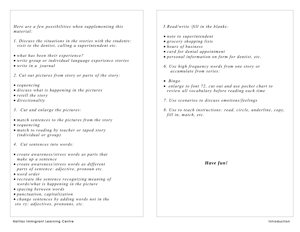*Here are a few possibilities when supplementing this material:* 

- *1. Discuss the situations in the stories with the students: visit to the dentist, calling a superintendent etc.*
- *what has been their experience?*
- *write group or individual language experience stories*
- *write in a journal*
- *2. Cut out pictures from story or parts of the story:*
- *sequencing*
- *discuss what is happening in the pictures*
- *retell the story*
- *directionality*
- *3. Cut and enlarge the pictures:*
- *match sentences to the pictures from the story*
- *sequencing*
- *match to reading by teacher or taped story (individual or group)*
- *4. Cut sentences into words:*
- *create awareness/stress words as parts that make up a sentence*
- *create awareness/stress words as different parts of sentence: adjective, pronoun etc.*
- *word order*
- *recreate the sentence recognizing meaning of words/what is happening in the picture*
- *spacing between words*
- *punctuation, capitalization*
- *change sentences by adding words not in the sto ry: adjectives, pronouns, etc.*

 *5.Read/write /fill in the blanks:* 

- *note to superintendent*
- *grocery shopping lists*
- *hours of business*
- *card for dental appointment*
- *personal information on form for dentist, etc.*
- *6. Use high frequency words from one story or accumulate from series:*
- • *Bingo*
- • *enlarge to font 72, cut out and use pocket chart to review all vocabulary before reading each time*
- *7. Use scenarios to discuss emotions/feelings*
- *8. Use to teach instructions: read, circle, underline, copy, fill in, match, etc.*

*Have fun!*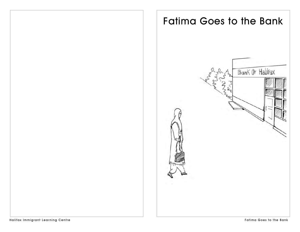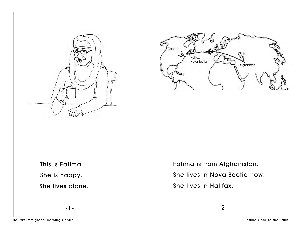



 This is Fatima. She is happy. She lives alone.

-1-

Fatima is from Afghanistan. She lives in Nova Scotia now. She lives in Halifax.

-2-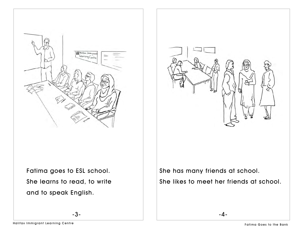

Fatima goes to ESL school. She learns to read, to write and to speak English.

-3-



She has many friends at school. She likes to meet her friends at school.

-4-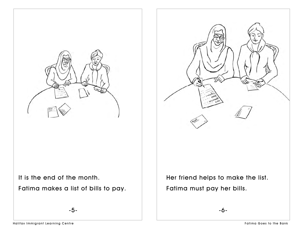



 It is the end of the month.Fatima makes a list of bills to pay.

-5-

-6-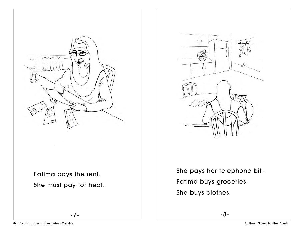

 Fatima pays the rent. She must pay for heat.

-7-



She pays her telephone bill. Fatima buys groceries. She buys clothes.

-8-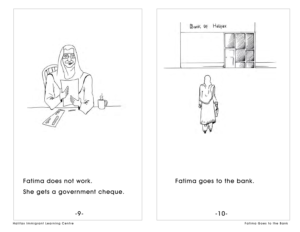

-9-



Fatima goes to the bank.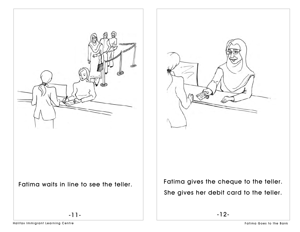



-12-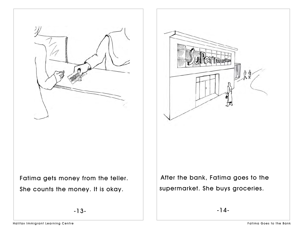



Fatima gets money from the teller. She counts the money. It is okay.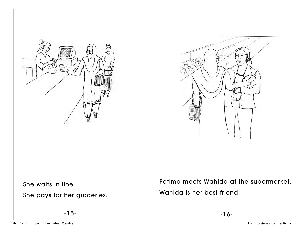



Fatima meets Wahida at the supermarket. Wahida is her best friend.

-16-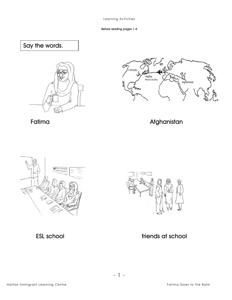Before reading pages 1-4

Say the words.





Fatima

Afghanistan



**ESL school** 



friends at school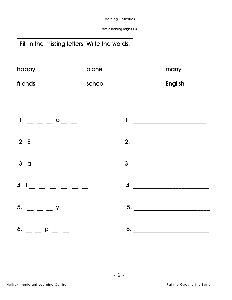Before reading pages 1-4

## Fill in the missing letters. Write the words.

| happy   | alone  | many    |
|---------|--------|---------|
| friends | school | English |

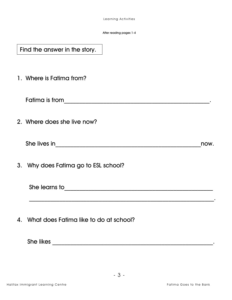After reading pages 1-4

Find the answer in the story.

1. Where is Fatima from?

Fatima is from\_\_\_\_\_\_\_\_\_\_\_\_\_\_\_\_\_\_\_\_\_\_\_\_\_\_\_\_\_\_\_\_\_\_\_\_\_\_\_\_\_\_\_\_\_\_\_\_.

2. Where does she live now?

| She lives in | now |
|--------------|-----|
|--------------|-----|

3. Why does Fatima go to ESL school?

She learns to strategies and the state of the learns to strategies and the strategies of the strategies of the strategies of the strategies of the strategies of the strategies of the strategies of the strategies of the str

 $\mathcal{L}_\text{max} = \frac{1}{2} \sum_{i=1}^{n} \frac{1}{2} \sum_{i=1}^{n} \frac{1}{2} \sum_{i=1}^{n} \frac{1}{2} \sum_{i=1}^{n} \frac{1}{2} \sum_{i=1}^{n} \frac{1}{2} \sum_{i=1}^{n} \frac{1}{2} \sum_{i=1}^{n} \frac{1}{2} \sum_{i=1}^{n} \frac{1}{2} \sum_{i=1}^{n} \frac{1}{2} \sum_{i=1}^{n} \frac{1}{2} \sum_{i=1}^{n} \frac{1}{2} \sum_{i=1}^{n} \frac{1$ 

4. What does Fatima like to do at school?

She likes \_\_\_\_\_\_\_\_\_\_\_\_\_\_\_\_\_\_\_\_\_\_\_\_\_\_\_\_\_\_\_\_\_\_\_\_\_\_\_\_\_\_\_\_\_\_\_\_\_\_\_\_\_.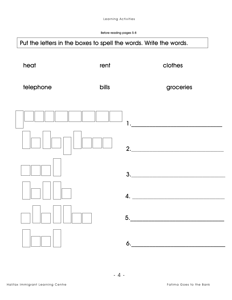Before reading pages 5-8

## Put the letters in the boxes to spell the words. Write the words.

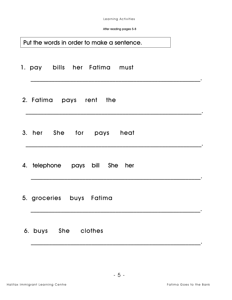After reading pages 5-8

| Put the words in order to make a sentence. |  |
|--------------------------------------------|--|
| 1. pay bills her Fatima must               |  |
| 2. Fatima pays rent the                    |  |
| 3. her She for pays heat                   |  |
| 4. telephone pays bill She her             |  |
| 5. groceries buys Fatima                   |  |
| 6. buys She clothes                        |  |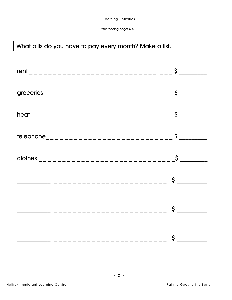# What bills do you have to pay every month? Make a list.

| telephone________________________________ | $\frac{1}{2}$        |
|-------------------------------------------|----------------------|
|                                           |                      |
|                                           | $\frac{1}{2}$        |
|                                           | $\frac{1}{2}$        |
|                                           | $\frac{1}{\sqrt{2}}$ |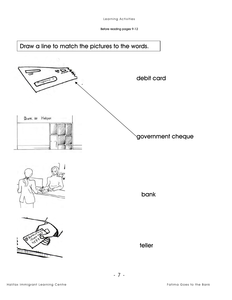Before reading pages 9-12











teller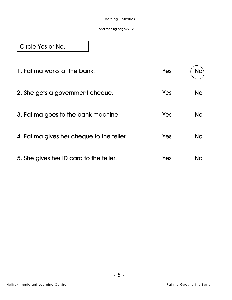#### After reading pages 9-12

Circle Yes or No.

| 1. Fatima works at the bank.              | Yes | No) |
|-------------------------------------------|-----|-----|
| 2. She gets a government cheque.          | Yes | No  |
| 3. Fatima goes to the bank machine.       | Yes | No  |
| 4. Fatima gives her cheque to the teller. | Yes | No  |
| 5. She gives her ID card to the teller.   | Yes | No. |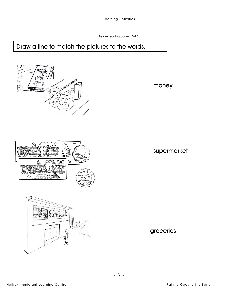Before reading pages 13-16

## Draw a line to match the pictures to the words.



money





supermarket

groceries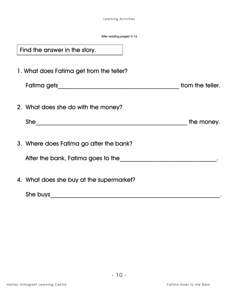After reading pages13-16

| Find the answer in the story.                                                 |                  |
|-------------------------------------------------------------------------------|------------------|
| 1. What does Fatima get from the teller?                                      |                  |
|                                                                               | from the teller. |
| 2. What does she do with the money?                                           |                  |
| She                                                                           | the money.       |
| 3. Where does Fatima go after the bank?<br>After the bank, Fatima goes to the |                  |
| 4. What does she buy at the supermarket?<br>She buys                          |                  |